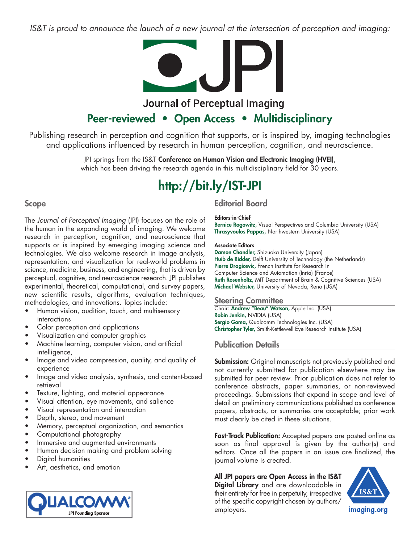IS&T is proud to announce the launch of a new journal at the intersection of perception and imaging:



## **Journal of Perceptual Imaging**

## **Peer-reviewed • Open Access • Multidisciplinary**

Publishing research in perception and cognition that supports, or is inspired by, imaging technologies and applications influenced by research in human perception, cognition, and neuroscience.

> JPI springs from the IS&T **Conference on Human Vision and Electronic Imaging (HVEI)**, which has been driving the research agenda in this multidisciplinary field for 30 years.

# **http://bit.ly/IST-JPI**

## **Scope**

The *Journal of Perceptual Imaging* (JPI) focuses on the role of the human in the expanding world of imaging. We welcome research in perception, cognition, and neuroscience that supports or is inspired by emerging imaging science and technologies. We also welcome research in image analysis, representation, and visualization for real-world problems in science, medicine, business, and engineering, that is driven by perceptual, cognitive, and neuroscience research. JPI publishes experimental, theoretical, computational, and survey papers, new scientific results, algorithms, evaluation techniques, methodologies, and innovations. Topics include:

- Human vision, audition, touch, and multisensory interactions
- Color perception and applications
- Visualization and computer graphics
- Machine learning, computer vision, and artificial intelligence,
- Image and video compression, quality, and quality of experience
- Image and video analysis, synthesis, and content-based retrieval
- Texture, lighting, and material appearance
- Visual attention, eye movements, and salience
- Visual representation and interaction
- Depth, stereo, and movement
- Memory, perceptual organization, and semantics
- Computational photography
- Immersive and augmented environments
- Human decision making and problem solving
- Digital humanities
- Art, aesthetics, and emotion



## **Editorial Board**

## **Editors-in-Chief**

**Bernice Rogowitz,** Visual Perspectives and Columbia University (USA) **Thrasyvoulos Pappas,** Northwestern University (USA)

#### **Associate Editors**

**Damon Chandler,** Shizuoka University (Japan) **Huib de Ridder,** Delft University of Technology (the Netherlands) **Pierre Dragicevic,** French Institute for Research in Computer Science and Automation (Inria) (France) **Ruth Rosenholtz,** MIT Department of Brain & Cognitive Sciences (USA) **Michael Webster,** University of Nevada, Reno (USA)

## **Steering Committee**

Chair: **Andrew "Beau" Watson,** Apple Inc. (USA) **Robin Jenkin,** NVIDIA (USA) **Sergio Goma,** Qualcomm Technologies Inc. (USA) **Christopher Tyler,** Smith-Kettlewell Eye Research Institute (USA)

## **Publication Details**

**Submission:** Original manuscripts not previously published and not currently submitted for publication elsewhere may be submitted for peer review. Prior publication does not refer to conference abstracts, paper summaries, or non-reviewed proceedings. Submissions that expand in scope and level of detail on preliminary communications published as conference papers, abstracts, or summaries are acceptable; prior work must clearly be cited in these situations.

**Fast-Track Publication:** Accepted papers are posted online as soon as final approval is given by the author(s) and editors. Once all the papers in an issue are finalized, the journal volume is created.

## **All JPI papers are Open Access in the IS&T**

**Digital Library** and are downloadable in their entirety for free in perpetuity, irrespective of the specific copyright chosen by authors/ employers.